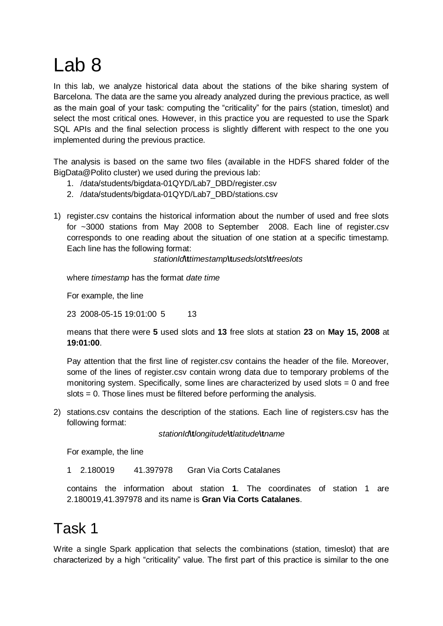## Lab 8

In this lab, we analyze historical data about the stations of the bike sharing system of Barcelona. The data are the same you already analyzed during the previous practice, as well as the main goal of your task: computing the "criticality" for the pairs (station, timeslot) and select the most critical ones. However, in this practice you are requested to use the Spark SQL APIs and the final selection process is slightly different with respect to the one you implemented during the previous practice.

The analysis is based on the same two files (available in the HDFS shared folder of the BigData@Polito cluster) we used during the previous lab:

- 1. /data/students/bigdata-01QYD/Lab7\_DBD/register.csv
- 2. /data/students/bigdata-01QYD/Lab7\_DBD/stations.csv
- 1) register.csv contains the historical information about the number of used and free slots for ~3000 stations from May 2008 to September 2008. Each line of register.csv corresponds to one reading about the situation of one station at a specific timestamp. Each line has the following format:

*stationId***\t***timestamp***\t***usedslots***\t***freeslots*

where *timestamp* has the format *date time*

For example, the line

23 2008-05-15 19:01:00 5 13

means that there were **5** used slots and **13** free slots at station **23** on **May 15, 2008** at **19:01:00**.

Pay attention that the first line of register.csv contains the header of the file. Moreover, some of the lines of register.csv contain wrong data due to temporary problems of the monitoring system. Specifically, some lines are characterized by used slots = 0 and free slots = 0. Those lines must be filtered before performing the analysis.

2) stations.csv contains the description of the stations. Each line of registers.csv has the following format:

*stationId***\t***longitude***\t***latitude***\t***name*

For example, the line

1 2.180019 41.397978 Gran Via Corts Catalanes

contains the information about station **1**. The coordinates of station 1 are 2.180019,41.397978 and its name is **Gran Via Corts Catalanes**.

## Task 1

Write a single Spark application that selects the combinations (station, timeslot) that are characterized by a high "criticality" value. The first part of this practice is similar to the one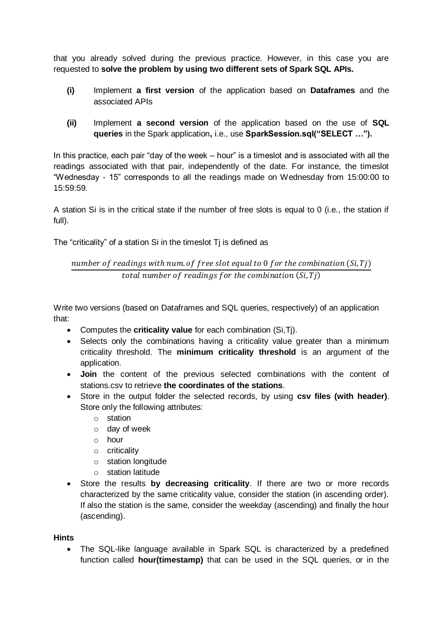that you already solved during the previous practice. However, in this case you are requested to **solve the problem by using two different sets of Spark SQL APIs.**

- **(i)** Implement **a first version** of the application based on **Dataframes** and the associated APIs
- **(ii)** Implement **a second version** of the application based on the use of **SQL queries** in the Spark application**,** i.e., use **SparkSession.sql("SELECT …").**

In this practice, each pair "day of the week – hour" is a timeslot and is associated with all the readings associated with that pair, independently of the date. For instance, the timeslot "Wednesday - 15" corresponds to all the readings made on Wednesday from 15:00:00 to 15:59:59.

A station Si is in the critical state if the number of free slots is equal to 0 (i.e., the station if full).

The "criticality" of a station Si in the timeslot Tj is defined as

## number of readings with num of free slot equal to 0 for the combination  $(Si, Ti)$ total number of readings for the combination  $(S_i, T_j)$

Write two versions (based on Dataframes and SQL queries, respectively) of an application that:

- Computes the **criticality value** for each combination (Si,Tj).
- Selects only the combinations having a criticality value greater than a minimum criticality threshold. The **minimum criticality threshold** is an argument of the application.
- **Join** the content of the previous selected combinations with the content of stations.csv to retrieve **the coordinates of the stations**.
- Store in the output folder the selected records, by using **csv files (with header)**. Store only the following attributes:
	- o station
	- o day of week
	- o hour
	- o criticality
	- o station longitude
	- o station latitude
- Store the results **by decreasing criticality**. If there are two or more records characterized by the same criticality value, consider the station (in ascending order). If also the station is the same, consider the weekday (ascending) and finally the hour (ascending).

## **Hints**

 The SQL-like language available in Spark SQL is characterized by a predefined function called **hour(timestamp)** that can be used in the SQL queries, or in the